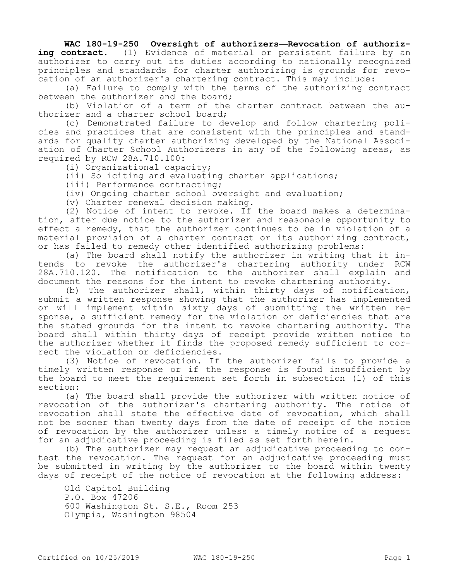## **WAC 180-19-250 Oversight of authorizers—Revocation of authoriz**ing contract. (1) Evidence of material or persistent failure by an authorizer to carry out its duties according to nationally recognized principles and standards for charter authorizing is grounds for revocation of an authorizer's chartering contract. This may include:

(a) Failure to comply with the terms of the authorizing contract between the authorizer and the board;

(b) Violation of a term of the charter contract between the authorizer and a charter school board;

(c) Demonstrated failure to develop and follow chartering policies and practices that are consistent with the principles and standards for quality charter authorizing developed by the National Association of Charter School Authorizers in any of the following areas, as required by RCW 28A.710.100:

(i) Organizational capacity;

(ii) Soliciting and evaluating charter applications;

(iii) Performance contracting;

(iv) Ongoing charter school oversight and evaluation;

(v) Charter renewal decision making.

(2) Notice of intent to revoke. If the board makes a determination, after due notice to the authorizer and reasonable opportunity to effect a remedy, that the authorizer continues to be in violation of a material provision of a charter contract or its authorizing contract, or has failed to remedy other identified authorizing problems:

(a) The board shall notify the authorizer in writing that it intends to revoke the authorizer's chartering authority under RCW 28A.710.120. The notification to the authorizer shall explain and document the reasons for the intent to revoke chartering authority.

(b) The authorizer shall, within thirty days of notification, submit a written response showing that the authorizer has implemented or will implement within sixty days of submitting the written response, a sufficient remedy for the violation or deficiencies that are the stated grounds for the intent to revoke chartering authority. The board shall within thirty days of receipt provide written notice to the authorizer whether it finds the proposed remedy sufficient to correct the violation or deficiencies.

(3) Notice of revocation. If the authorizer fails to provide a timely written response or if the response is found insufficient by the board to meet the requirement set forth in subsection (1) of this section:

(a) The board shall provide the authorizer with written notice of revocation of the authorizer's chartering authority. The notice of revocation shall state the effective date of revocation, which shall not be sooner than twenty days from the date of receipt of the notice of revocation by the authorizer unless a timely notice of a request for an adjudicative proceeding is filed as set forth herein.

(b) The authorizer may request an adjudicative proceeding to contest the revocation. The request for an adjudicative proceeding must be submitted in writing by the authorizer to the board within twenty days of receipt of the notice of revocation at the following address:

Old Capitol Building P.O. Box 47206 600 Washington St. S.E., Room 253 Olympia, Washington 98504